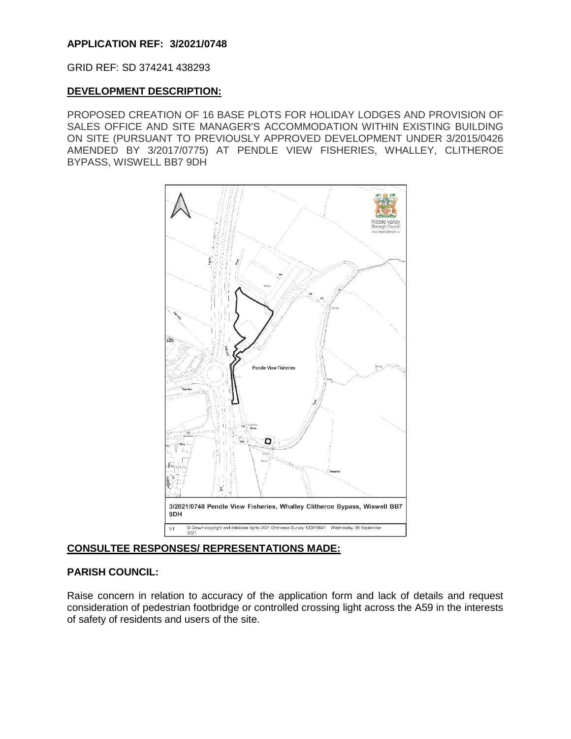# **APPLICATION REF: 3/2021/0748**

GRID REF: SD 374241 438293

#### **DEVELOPMENT DESCRIPTION:**

PROPOSED CREATION OF 16 BASE PLOTS FOR HOLIDAY LODGES AND PROVISION OF SALES OFFICE AND SITE MANAGER'S ACCOMMODATION WITHIN EXISTING BUILDING ON SITE (PURSUANT TO PREVIOUSLY APPROVED DEVELOPMENT UNDER 3/2015/0426 AMENDED BY 3/2017/0775) AT PENDLE VIEW FISHERIES, WHALLEY, CLITHEROE BYPASS, WISWELL BB7 9DH



# **CONSULTEE RESPONSES/ REPRESENTATIONS MADE:**

#### **PARISH COUNCIL:**

Raise concern in relation to accuracy of the application form and lack of details and request consideration of pedestrian footbridge or controlled crossing light across the A59 in the interests of safety of residents and users of the site.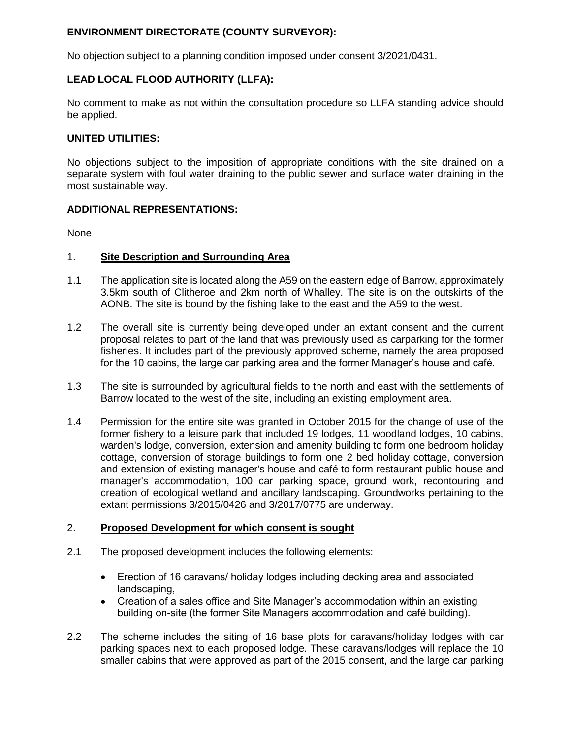# **ENVIRONMENT DIRECTORATE (COUNTY SURVEYOR):**

No objection subject to a planning condition imposed under consent 3/2021/0431.

# **LEAD LOCAL FLOOD AUTHORITY (LLFA):**

No comment to make as not within the consultation procedure so LLFA standing advice should be applied.

#### **UNITED UTILITIES:**

No objections subject to the imposition of appropriate conditions with the site drained on a separate system with foul water draining to the public sewer and surface water draining in the most sustainable way.

#### **ADDITIONAL REPRESENTATIONS:**

None

#### 1. **Site Description and Surrounding Area**

- 1.1 The application site is located along the A59 on the eastern edge of Barrow, approximately 3.5km south of Clitheroe and 2km north of Whalley. The site is on the outskirts of the AONB. The site is bound by the fishing lake to the east and the A59 to the west.
- 1.2 The overall site is currently being developed under an extant consent and the current proposal relates to part of the land that was previously used as carparking for the former fisheries. It includes part of the previously approved scheme, namely the area proposed for the 10 cabins, the large car parking area and the former Manager's house and café.
- 1.3 The site is surrounded by agricultural fields to the north and east with the settlements of Barrow located to the west of the site, including an existing employment area.
- 1.4 Permission for the entire site was granted in October 2015 for the change of use of the former fishery to a leisure park that included 19 lodges, 11 woodland lodges, 10 cabins, warden's lodge, conversion, extension and amenity building to form one bedroom holiday cottage, conversion of storage buildings to form one 2 bed holiday cottage, conversion and extension of existing manager's house and café to form restaurant public house and manager's accommodation, 100 car parking space, ground work, recontouring and creation of ecological wetland and ancillary landscaping. Groundworks pertaining to the extant permissions 3/2015/0426 and 3/2017/0775 are underway.

#### 2. **Proposed Development for which consent is sought**

- 2.1 The proposed development includes the following elements:
	- Erection of 16 caravans/ holiday lodges including decking area and associated landscaping,
	- Creation of a sales office and Site Manager's accommodation within an existing building on-site (the former Site Managers accommodation and café building).
- 2.2 The scheme includes the siting of 16 base plots for caravans/holiday lodges with car parking spaces next to each proposed lodge. These caravans/lodges will replace the 10 smaller cabins that were approved as part of the 2015 consent, and the large car parking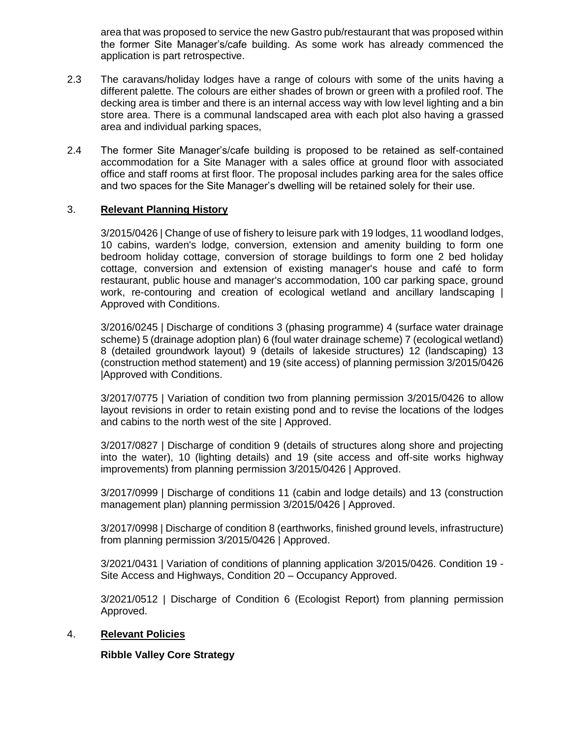area that was proposed to service the new Gastro pub/restaurant that was proposed within the former Site Manager's/cafe building. As some work has already commenced the application is part retrospective.

- 2.3 The caravans/holiday lodges have a range of colours with some of the units having a different palette. The colours are either shades of brown or green with a profiled roof. The decking area is timber and there is an internal access way with low level lighting and a bin store area. There is a communal landscaped area with each plot also having a grassed area and individual parking spaces,
- 2.4 The former Site Manager's/cafe building is proposed to be retained as self-contained accommodation for a Site Manager with a sales office at ground floor with associated office and staff rooms at first floor. The proposal includes parking area for the sales office and two spaces for the Site Manager's dwelling will be retained solely for their use.

## 3. **Relevant Planning History**

3/2015/0426 | Change of use of fishery to leisure park with 19 lodges, 11 woodland lodges, 10 cabins, warden's lodge, conversion, extension and amenity building to form one bedroom holiday cottage, conversion of storage buildings to form one 2 bed holiday cottage, conversion and extension of existing manager's house and café to form restaurant, public house and manager's accommodation, 100 car parking space, ground work, re-contouring and creation of ecological wetland and ancillary landscaping | Approved with Conditions.

3/2016/0245 | Discharge of conditions 3 (phasing programme) 4 (surface water drainage scheme) 5 (drainage adoption plan) 6 (foul water drainage scheme) 7 (ecological wetland) 8 (detailed groundwork layout) 9 (details of lakeside structures) 12 (landscaping) 13 (construction method statement) and 19 (site access) of planning permission 3/2015/0426 |Approved with Conditions.

3/2017/0775 | Variation of condition two from planning permission 3/2015/0426 to allow layout revisions in order to retain existing pond and to revise the locations of the lodges and cabins to the north west of the site | Approved.

3/2017/0827 | Discharge of condition 9 (details of structures along shore and projecting into the water), 10 (lighting details) and 19 (site access and off-site works highway improvements) from planning permission 3/2015/0426 | Approved.

3/2017/0999 | Discharge of conditions 11 (cabin and lodge details) and 13 (construction management plan) planning permission 3/2015/0426 | Approved.

3/2017/0998 | Discharge of condition 8 (earthworks, finished ground levels, infrastructure) from planning permission 3/2015/0426 | Approved.

3/2021/0431 | Variation of conditions of planning application 3/2015/0426. Condition 19 - Site Access and Highways, Condition 20 – Occupancy Approved.

3/2021/0512 | Discharge of Condition 6 (Ecologist Report) from planning permission Approved.

#### 4. **Relevant Policies**

# **Ribble Valley Core Strategy**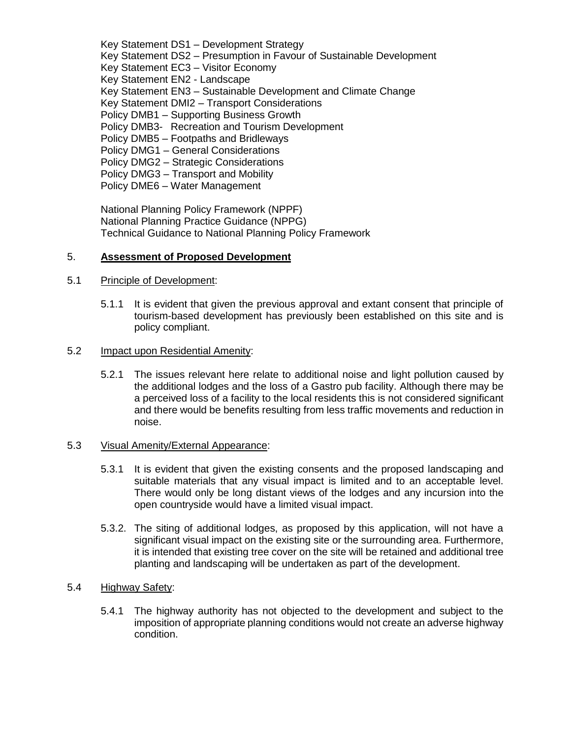Key Statement DS1 – Development Strategy Key Statement DS2 – Presumption in Favour of Sustainable Development Key Statement EC3 – Visitor Economy Key Statement EN2 - Landscape Key Statement EN3 – Sustainable Development and Climate Change Key Statement DMI2 – Transport Considerations Policy DMB1 – Supporting Business Growth Policy DMB3- Recreation and Tourism Development Policy DMB5 – Footpaths and Bridleways Policy DMG1 – General Considerations Policy DMG2 – Strategic Considerations Policy DMG3 – Transport and Mobility Policy DME6 – Water Management

National Planning Policy Framework (NPPF) National Planning Practice Guidance (NPPG) Technical Guidance to National Planning Policy Framework

## 5. **Assessment of Proposed Development**

#### 5.1 Principle of Development:

5.1.1 It is evident that given the previous approval and extant consent that principle of tourism-based development has previously been established on this site and is policy compliant.

#### 5.2 Impact upon Residential Amenity:

5.2.1 The issues relevant here relate to additional noise and light pollution caused by the additional lodges and the loss of a Gastro pub facility. Although there may be a perceived loss of a facility to the local residents this is not considered significant and there would be benefits resulting from less traffic movements and reduction in noise.

#### 5.3 Visual Amenity/External Appearance:

- 5.3.1 It is evident that given the existing consents and the proposed landscaping and suitable materials that any visual impact is limited and to an acceptable level. There would only be long distant views of the lodges and any incursion into the open countryside would have a limited visual impact.
- 5.3.2. The siting of additional lodges, as proposed by this application, will not have a significant visual impact on the existing site or the surrounding area. Furthermore, it is intended that existing tree cover on the site will be retained and additional tree planting and landscaping will be undertaken as part of the development.

#### 5.4 Highway Safety:

5.4.1 The highway authority has not objected to the development and subject to the imposition of appropriate planning conditions would not create an adverse highway condition.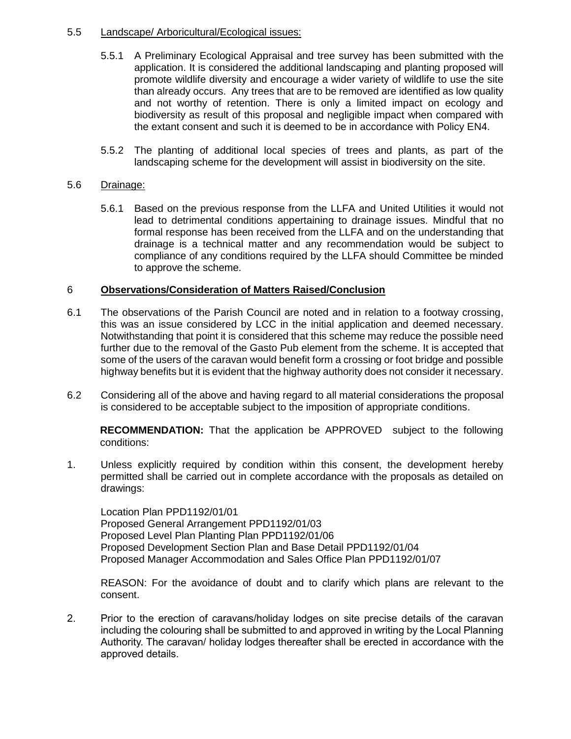# 5.5 Landscape/ Arboricultural/Ecological issues:

- 5.5.1 A Preliminary Ecological Appraisal and tree survey has been submitted with the application. It is considered the additional landscaping and planting proposed will promote wildlife diversity and encourage a wider variety of wildlife to use the site than already occurs. Any trees that are to be removed are identified as low quality and not worthy of retention. There is only a limited impact on ecology and biodiversity as result of this proposal and negligible impact when compared with the extant consent and such it is deemed to be in accordance with Policy EN4.
- 5.5.2 The planting of additional local species of trees and plants, as part of the landscaping scheme for the development will assist in biodiversity on the site.

## 5.6 Drainage:

5.6.1 Based on the previous response from the LLFA and United Utilities it would not lead to detrimental conditions appertaining to drainage issues. Mindful that no formal response has been received from the LLFA and on the understanding that drainage is a technical matter and any recommendation would be subject to compliance of any conditions required by the LLFA should Committee be minded to approve the scheme.

## 6 **Observations/Consideration of Matters Raised/Conclusion**

- 6.1 The observations of the Parish Council are noted and in relation to a footway crossing, this was an issue considered by LCC in the initial application and deemed necessary. Notwithstanding that point it is considered that this scheme may reduce the possible need further due to the removal of the Gasto Pub element from the scheme. It is accepted that some of the users of the caravan would benefit form a crossing or foot bridge and possible highway benefits but it is evident that the highway authority does not consider it necessary.
- 6.2 Considering all of the above and having regard to all material considerations the proposal is considered to be acceptable subject to the imposition of appropriate conditions.

**RECOMMENDATION:** That the application be APPROVED subject to the following conditions:

1. Unless explicitly required by condition within this consent, the development hereby permitted shall be carried out in complete accordance with the proposals as detailed on drawings:

Location Plan PPD1192/01/01 Proposed General Arrangement PPD1192/01/03 Proposed Level Plan Planting Plan PPD1192/01/06 Proposed Development Section Plan and Base Detail PPD1192/01/04 Proposed Manager Accommodation and Sales Office Plan PPD1192/01/07

REASON: For the avoidance of doubt and to clarify which plans are relevant to the consent.

2. Prior to the erection of caravans/holiday lodges on site precise details of the caravan including the colouring shall be submitted to and approved in writing by the Local Planning Authority. The caravan/ holiday lodges thereafter shall be erected in accordance with the approved details.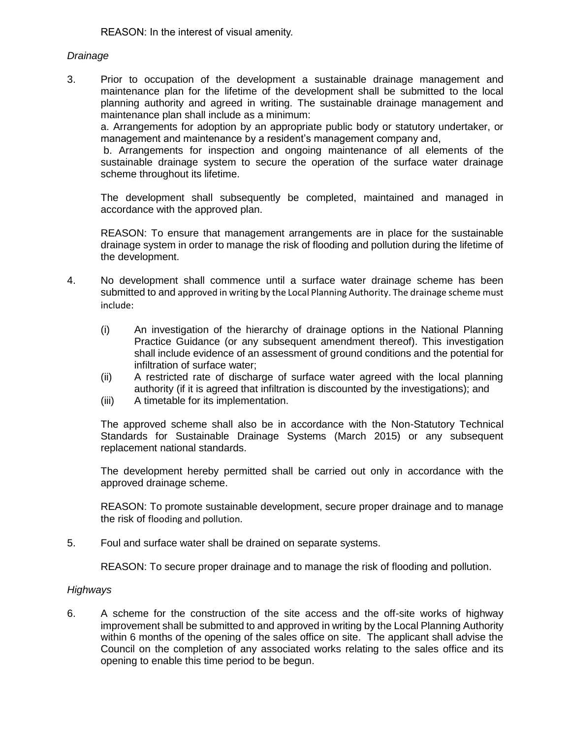REASON: In the interest of visual amenity.

## *Drainage*

3. Prior to occupation of the development a sustainable drainage management and maintenance plan for the lifetime of the development shall be submitted to the local planning authority and agreed in writing. The sustainable drainage management and maintenance plan shall include as a minimum:

a. Arrangements for adoption by an appropriate public body or statutory undertaker, or management and maintenance by a resident's management company and,

b. Arrangements for inspection and ongoing maintenance of all elements of the sustainable drainage system to secure the operation of the surface water drainage scheme throughout its lifetime.

The development shall subsequently be completed, maintained and managed in accordance with the approved plan.

REASON: To ensure that management arrangements are in place for the sustainable drainage system in order to manage the risk of flooding and pollution during the lifetime of the development.

- 4. No development shall commence until a surface water drainage scheme has been submitted to and approved in writing by the Local Planning Authority. The drainage scheme must include:
	- (i) An investigation of the hierarchy of drainage options in the National Planning Practice Guidance (or any subsequent amendment thereof). This investigation shall include evidence of an assessment of ground conditions and the potential for infiltration of surface water;
	- (ii) A restricted rate of discharge of surface water agreed with the local planning authority (if it is agreed that infiltration is discounted by the investigations); and
	- (iii) A timetable for its implementation.

The approved scheme shall also be in accordance with the Non-Statutory Technical Standards for Sustainable Drainage Systems (March 2015) or any subsequent replacement national standards.

The development hereby permitted shall be carried out only in accordance with the approved drainage scheme.

REASON: To promote sustainable development, secure proper drainage and to manage the risk of flooding and pollution.

5. Foul and surface water shall be drained on separate systems.

REASON: To secure proper drainage and to manage the risk of flooding and pollution.

#### *Highways*

6. A scheme for the construction of the site access and the off-site works of highway improvement shall be submitted to and approved in writing by the Local Planning Authority within 6 months of the opening of the sales office on site. The applicant shall advise the Council on the completion of any associated works relating to the sales office and its opening to enable this time period to be begun.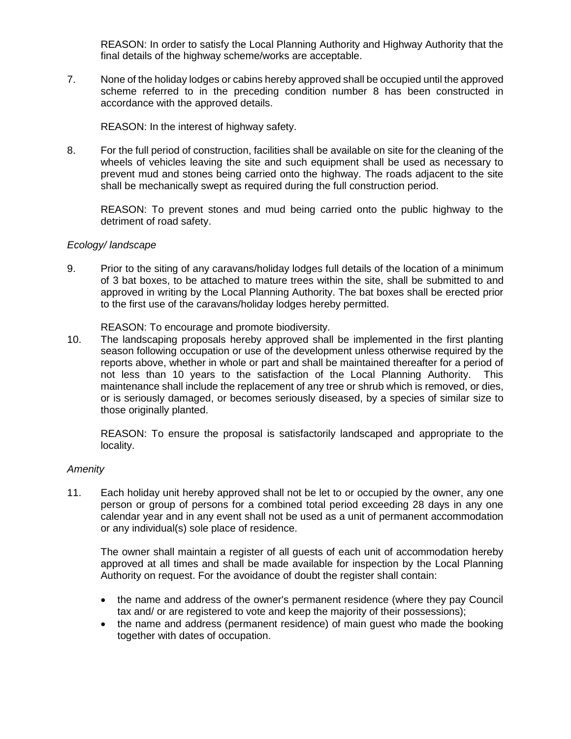REASON: In order to satisfy the Local Planning Authority and Highway Authority that the final details of the highway scheme/works are acceptable.

7. None of the holiday lodges or cabins hereby approved shall be occupied until the approved scheme referred to in the preceding condition number 8 has been constructed in accordance with the approved details.

REASON: In the interest of highway safety.

8. For the full period of construction, facilities shall be available on site for the cleaning of the wheels of vehicles leaving the site and such equipment shall be used as necessary to prevent mud and stones being carried onto the highway. The roads adjacent to the site shall be mechanically swept as required during the full construction period.

REASON: To prevent stones and mud being carried onto the public highway to the detriment of road safety.

## *Ecology/ landscape*

9. Prior to the siting of any caravans/holiday lodges full details of the location of a minimum of 3 bat boxes, to be attached to mature trees within the site, shall be submitted to and approved in writing by the Local Planning Authority. The bat boxes shall be erected prior to the first use of the caravans/holiday lodges hereby permitted.

REASON: To encourage and promote biodiversity.

10. The landscaping proposals hereby approved shall be implemented in the first planting season following occupation or use of the development unless otherwise required by the reports above, whether in whole or part and shall be maintained thereafter for a period of not less than 10 years to the satisfaction of the Local Planning Authority. This maintenance shall include the replacement of any tree or shrub which is removed, or dies, or is seriously damaged, or becomes seriously diseased, by a species of similar size to those originally planted.

REASON: To ensure the proposal is satisfactorily landscaped and appropriate to the locality.

# *Amenity*

11. Each holiday unit hereby approved shall not be let to or occupied by the owner, any one person or group of persons for a combined total period exceeding 28 days in any one calendar year and in any event shall not be used as a unit of permanent accommodation or any individual(s) sole place of residence.

The owner shall maintain a register of all guests of each unit of accommodation hereby approved at all times and shall be made available for inspection by the Local Planning Authority on request. For the avoidance of doubt the register shall contain:

- the name and address of the owner's permanent residence (where they pay Council tax and/ or are registered to vote and keep the majority of their possessions);
- the name and address (permanent residence) of main guest who made the booking together with dates of occupation.